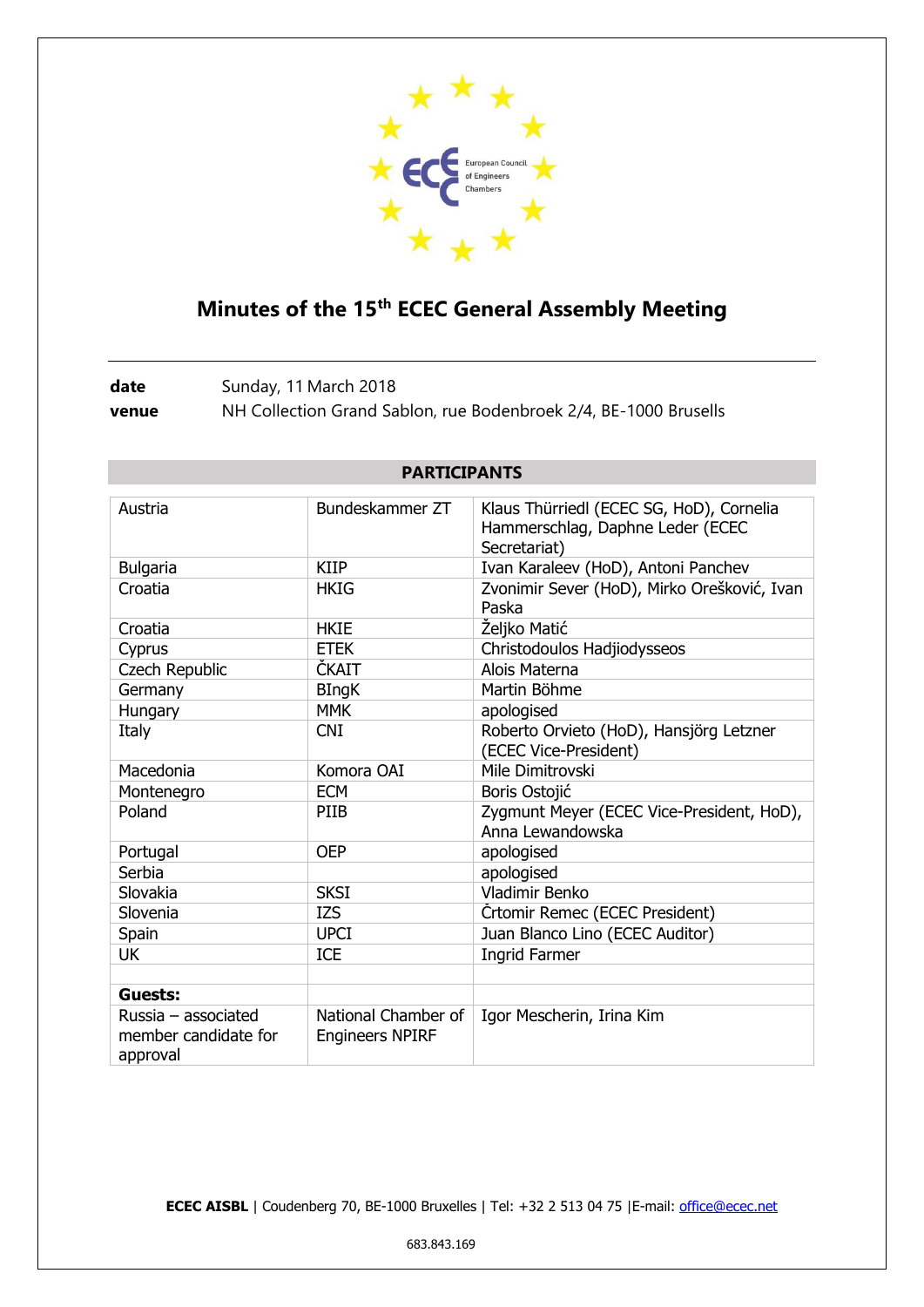

## **Minutes of the 15th ECEC General Assembly Meeting**

date Sunday, 11 March 2018 **venue** NH Collection Grand Sablon, rue Bodenbroek 2/4, BE-1000 Brusells

| Austria                                                 | Bundeskammer ZT                               | Klaus Thürriedl (ECEC SG, HoD), Cornelia<br>Hammerschlag, Daphne Leder (ECEC<br>Secretariat) |
|---------------------------------------------------------|-----------------------------------------------|----------------------------------------------------------------------------------------------|
| <b>Bulgaria</b>                                         | <b>KIIP</b>                                   | Ivan Karaleev (HoD), Antoni Panchev                                                          |
| Croatia                                                 | HKIG                                          | Zvonimir Sever (HoD), Mirko Orešković, Ivan<br>Paska                                         |
| Croatia                                                 | <b>HKIE</b>                                   | Željko Matić                                                                                 |
| Cyprus                                                  | <b>ETEK</b>                                   | Christodoulos Hadjiodysseos                                                                  |
| <b>Czech Republic</b>                                   | ČKAIT                                         | Alois Materna                                                                                |
| Germany                                                 | <b>BIngK</b>                                  | Martin Böhme                                                                                 |
| Hungary                                                 | <b>MMK</b>                                    | apologised                                                                                   |
| Italy                                                   | <b>CNI</b>                                    | Roberto Orvieto (HoD), Hansjörg Letzner<br>(ECEC Vice-President)                             |
| Macedonia                                               | Komora OAI                                    | Mile Dimitrovski                                                                             |
| Montenegro                                              | <b>ECM</b>                                    | Boris Ostojić                                                                                |
| Poland                                                  | <b>PIIB</b>                                   | Zygmunt Meyer (ECEC Vice-President, HoD),<br>Anna Lewandowska                                |
| Portugal                                                | <b>OEP</b>                                    | apologised                                                                                   |
| Serbia                                                  |                                               | apologised                                                                                   |
| Slovakia                                                | <b>SKSI</b>                                   | Vladimir Benko                                                                               |
| Slovenia                                                | <b>IZS</b>                                    | Crtomir Remec (ECEC President)                                                               |
| Spain                                                   | <b>UPCI</b>                                   | Juan Blanco Lino (ECEC Auditor)                                                              |
| UK                                                      | <b>ICE</b>                                    | <b>Ingrid Farmer</b>                                                                         |
|                                                         |                                               |                                                                                              |
| Guests:                                                 |                                               |                                                                                              |
| Russia - associated<br>member candidate for<br>approval | National Chamber of<br><b>Engineers NPIRF</b> | Igor Mescherin, Irina Kim                                                                    |

## **PARTICIPANTS**

**ECEC AISBL** | Coudenberg 70, BE-1000 Bruxelles | Tel: +32 2 513 04 75 | E-mail: [office@ecec.net](mailto:office@ecec.net)